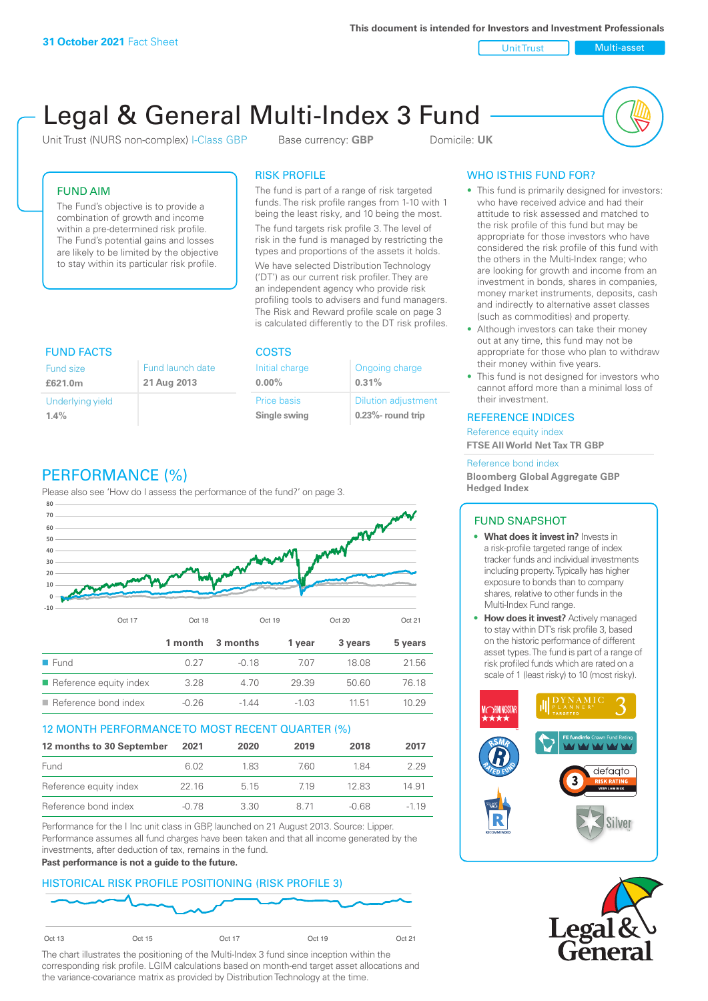**This document is intended for Investors and Investment Professionals**

Unit Trust Nulti-asset

# Legal & General Multi-Index 3 Fund

Unit Trust (NURS non-complex) I-Class GBP Base currency: **GBP** Domicile: UK



# FUND AIM

The Fund's objective is to provide a combination of growth and income within a pre-determined risk profile. The Fund's potential gains and losses are likely to be limited by the objective to stay within its particular risk profile.

## RISK PROFILE

The fund is part of a range of risk targeted funds. The risk profile ranges from 1-10 with 1 being the least risky, and 10 being the most.

The fund targets risk profile 3. The level of risk in the fund is managed by restricting the types and proportions of the assets it holds. We have selected Distribution Technology ('DT') as our current risk profiler. They are an independent agency who provide risk profiling tools to advisers and fund managers. The Risk and Reward profile scale on page 3 is calculated differently to the DT risk profiles.

| <b>FUND FACTS</b> |                  | <b>COSTS</b>   |                            |  |
|-------------------|------------------|----------------|----------------------------|--|
| <b>Fund size</b>  | Fund launch date | Initial charge | Ongoing charge             |  |
| £621.0m           | 21 Aug 2013      | $0.00\%$       | 0.31%                      |  |
| Underlying yield  |                  | Price basis    | <b>Dilution adjustment</b> |  |
| 1.4%              |                  | Single swing   | $0.23\%$ - round trip      |  |

# PERFORMANCE (%)

Please also see 'How do I assess the performance of the fund?' on page 3.



## 12 MONTH PERFORMANCE TO MOST RECENT QUARTER (%)

| 12 months to 30 September | 2021  | 2020 | 2019 | 2018  | 2017   |
|---------------------------|-------|------|------|-------|--------|
| Fund                      | 6.02  | 183  | 760. | 184   | 2.29   |
| Reference equity index    | 22 16 | 515  | 719  | 1283  | 14.91  |
| Reference bond index      | -0.78 | 3.30 | 8 71 | -0.68 | $-119$ |

Performance for the I Inc unit class in GBP, launched on 21 August 2013. Source: Lipper. Performance assumes all fund charges have been taken and that all income generated by the investments, after deduction of tax, remains in the fund.

#### **Past performance is not a guide to the future.**

## HISTORICAL RISK PROFILE POSITIONING (RISK PROFILE 3)



The chart illustrates the positioning of the Multi-Index 3 fund since inception within the corresponding risk profile. LGIM calculations based on month-end target asset allocations and the variance-covariance matrix as provided by Distribution Technology at the time.

# WHO IS THIS FUND FOR?

- This fund is primarily designed for investors: who have received advice and had their attitude to risk assessed and matched to the risk profile of this fund but may be appropriate for those investors who have considered the risk profile of this fund with the others in the Multi-Index range; who are looking for growth and income from an investment in bonds, shares in companies, money market instruments, deposits, cash and indirectly to alternative asset classes (such as commodities) and property.
- Although investors can take their money out at any time, this fund may not be appropriate for those who plan to withdraw their money within five years.
- This fund is not designed for investors who cannot afford more than a minimal loss of their investment.

### REFERENCE INDICES

Reference equity index **FTSE All World Net Tax TR GBP**

#### Reference bond index

**Bloomberg Global Aggregate GBP Hedged Index**

## FUND SNAPSHOT

- **• What does it invest in?** Invests in a risk-profile targeted range of index tracker funds and individual investments including property. Typically has higher exposure to bonds than to company shares, relative to other funds in the Multi-Index Fund range.
- **• How does it invest?** Actively managed to stay within DT's risk profile 3, based on the historic performance of different asset types. The fund is part of a range of risk profiled funds which are rated on a scale of 1 (least risky) to 10 (most risky).



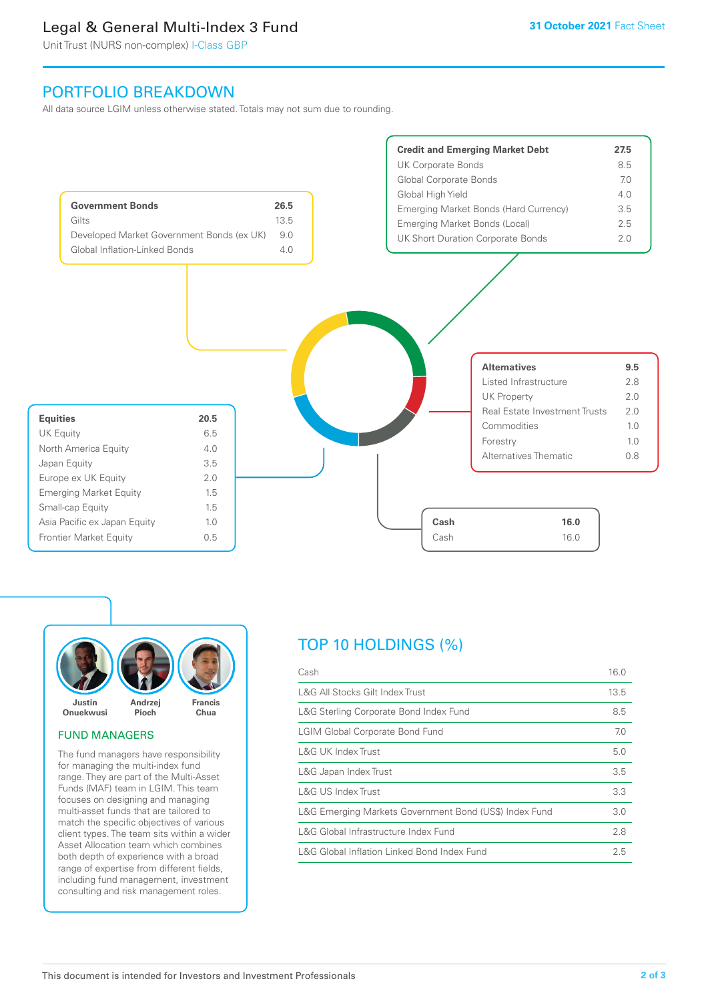# Legal & General Multi-Index 3 Fund

Unit Trust (NURS non-complex) I-Class GBP

# PORTFOLIO BREAKDOWN

All data source LGIM unless otherwise stated. Totals may not sum due to rounding.





#### FUND MANAGERS

The fund managers have responsibility for managing the multi-index fund range. They are part of the Multi-Asset Funds (MAF) team in LGIM. This team focuses on designing and managing multi-asset funds that are tailored to match the specific objectives of various client types. The team sits within a wider Asset Allocation team which combines both depth of experience with a broad range of expertise from different fields, including fund management, investment consulting and risk management roles.

# TOP 10 HOLDINGS (%)

| Cash                                                   | 16.0 |
|--------------------------------------------------------|------|
| L&G All Stocks Gilt Index Trust                        | 13.5 |
| L&G Sterling Corporate Bond Index Fund                 | 8.5  |
| <b>LGIM Global Corporate Bond Fund</b>                 | 7.0  |
| L&G UK Index Trust                                     | 5.0  |
| L&G Japan Index Trust                                  | 3.5  |
| L&G US Index Trust                                     | 3.3  |
| L&G Emerging Markets Government Bond (US\$) Index Fund | 3.0  |
| L&G Global Infrastructure Index Fund                   | 2.8  |
| L&G Global Inflation Linked Bond Index Fund            | 2.5  |